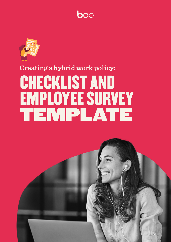



# **Creating a hybrid work policy: CHECKLIST AND** EMPLOYEE SURVEY TEMPLATE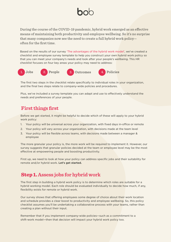During the course of the COVID-19 pandemic, hybrid work emerged as an effective means of maintaining both productivity and employee wellbeing. So it's no surprise that many companies now see the need to create a full hybrid work policyoften for the first time.

Based on the results of our survey 'The advantages of the hybrid work model', we've created a checklist and employee survey template to help you construct your own hybrid work policy so that you can meet your company's needs and look after your people's wellbeing. This HR checklist focuses on four key areas your policy may need to address:











The first two steps in the checklist relate specifically to individual roles in your organization, and the final two steps relate to company-wide policies and procedures.

Plus, we've included a survey template you can adapt and use to effectively understand the needs and preferences of your people.

### **first things First**

Before we get started, it might be helpful to decide which of these will apply to your hybrid work policy:

- 1. Your policy will be universal across your organization, with fixed days in-office or remote
- 2. Your policy will vary across your organization, with decisions made at the team level
- 3. Your policy will be flexible across teams, with decisions made between a manager & employee

The more granular your policy is, the more work will be required to implement it. However, our survey suggests that granular policies decided at the team or employee level may be the most effective at empowering people and boosting productivity.

First up, we need to look at how your policy can address specific jobs and their suitability for remote and/or hybrid work. Let's get started.

### **Step 1.** Assess jobs for hybrid work

The first step in building a hybrid work policy is to determine which roles are suitable for a hybrid working model. Each role should be evaluated individually to decide how much, if any, flexibility exists for remote or hybrid work.

Our survey shows that offering employees some degree of choice about their work location and schedule provides a clear boost to productivity and employee wellbeing. So, this policy checklist assumes you'll be undertaking a collaborative process with your teams, rather than creating a plan without their input.

Remember that if you implement company-wide policies —such as a commitment to a shift-work model—then that decision will impact your hybrid work policy too.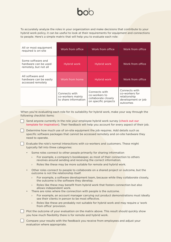To accurately analyze the roles in your organization and make decisions that contribute to your hybrid work policy, it can be useful to look at their requirements for equipment and connections to people. Here's a simple matrix that will help you to evaluate each role:

| All or most equipment<br>required is on-site                       | Work from office                                           | Work from office                                                              | Work from office                                                                  |
|--------------------------------------------------------------------|------------------------------------------------------------|-------------------------------------------------------------------------------|-----------------------------------------------------------------------------------|
| Some software and<br>hardware can be used<br>remotely, but not all | Hybrid work                                                | Hybrid work                                                                   | Work from office                                                                  |
| All software and<br>hardware can be easily<br>accessed remotely    | Work from home                                             | Hybrid work                                                                   | Work from office                                                                  |
|                                                                    | Connects with<br>co-workers mainly<br>to share information | Connects with<br>co-workers to<br>collaborate closely<br>on specific projects | Connects with<br>co-workers for<br>relationship<br>development or job<br>outcomes |

When you're evaluating each role for its suitability for hybrid work, make your way through the following checklist items:

- Send anyone currently in the role your employee hybrid work survey (check out our template for inspiration). Their feedback will help you account for every aspect of their job.
	- Determine how much use of on-site equipment the job requires. Add details such as specific software packages that cannot be accessed remotely and on-site hardware they need to operate.
	- Evaluate the role's normal interactions with co-workers and customers. These might typically fall into three categories:
		- Some roles connect to other people primarily for sharing information
			- For example, a company's bookkeeper, as most of their connection to others revolves around sending and receiving the correct information.
			- Roles like these may be more suitable for remote and hybrid work.
		- Other roles connect to people to collaborate on a shared project or outcome, but the outcome is not the relationship itself.
			- For example, a software development team, because while they collaborate closely, the outcome is the software they develop.
			- Roles like these may benefit from hybrid work that fosters connection but also allows independent work.
		- . There are roles where the connection with people is the outcome.
			- $\rightarrow$  For example, an account manager carrying out product demonstrations must ideally see their clients in person to be most effective.
			- Roles like these are probably not suitable for hybrid work and may require a 'work from office' provision.
- $\Box$  Plot the outcome of your evaluation on the matrix above. This result should quickly show you how much flexibility there is for remote and hybrid work.
- Compare your results with the feedback you receive from employees and adjust your evaluation where appropriate.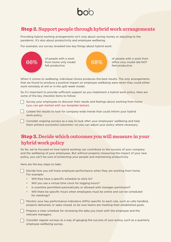### **Step 2.** Support people through hybrid work arrangements

Providing hybrid working arrangements isn't only about saving money or adjusting to the pandemic. It's also about productivity and employee wellbeing.

For example, our survey revealed two key things about hybrid work:



When it comes to wellbeing, individual choice produces the best results. The only arrangements that we found to produce a positive impact on employee wellbeing were when they could either work remotely at will or in the split week model.

So it's important to provide sufficient support as you implement a hybrid work policy. Here are some of the key checklist items to follow:

Survey your employees to discover their needs and feelings about working from home (you can get started with our template below).

Collate the results to look for company-wide trends that could inform your hybrid work policy.

Consider ongoing surveys as a way to look after your employees' wellbeing and help them achieve successful outcomes-so you can adjust your policy where necessary.

### **Step 3.** Decide which outcomes you will measure in your **policy work hybrid**

So far, we've focused on how hybrid working can contribute to the success of your company and the wellbeing of your employees. But without properly measuring the impact of your new policy, you can't be sure of protecting your people and maintaining productivity.

Here are the key steps to take:

Decide how you will track employee performance when they are working from home. For example: • Will they have a specific schedule to stick to?

- Will you use a virtual time clock for logging hours?
- Is overtime permitted automatically or allowed with manager permission?
- Will there be specific hours when employees must be online and can be scheduled for meetings?

Monitor your key performance indicators (KPIs) specific to each role, such as calls handled, projects delivered, or sales closed, to be sure teams are meeting their established goals.

**The and employee and the set of the set of the set of the set of the reviewing the reviewing for schedule clear schedule clear schedule for reviewing the data vou track with the employee and the** relevant managers.

Consider regular surveys as a way of gauging the success of your policy, such as a quarterly employee wellbeing survey.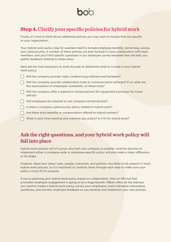### **Step 4.** Clarify your specific policies for hybrid work

Finally, it's time to think about additional policies you may wish to include that are specific to your organization.

Your hybrid work policy may for example need to include employee benefits, technology access, and cybersecurity. A number of these policies are best formed in close collaboration with team members, and you'll find specific questions in our employee survey template that will help you gather feedback relating to these areas.

Here are the main questions to work through to determine what to include in your hybrid work policy:

- Will the company provide video conferencing software and hardware?
- Will the company provide collaboration tools or communication software? If so, what are the expectations of employees' availability on these tools?
- $\begin{bmatrix} \cdot & \cdot \end{bmatrix}$  Will the company offer a stipend or reimbursement for equipment purchases for home offices?
- $\Box$  Will employees be required to use company-owned devices?
- Is there a company cybersecurity policy related to hybrid work?
- **Para here extra benefits or compensation offered to hybrid workers?**
- What is your time-tracking and overtime pay policy? Is it fit for hybrid work?

### Ask the right questions, and your hybrid work policy will fall into place

Hybrid work policies will of course vary from one company to another. And the decision to implement either a company-wide or employee-specific policy will also make a major difference to its shape.

However, these four areas-jobs, people, outcomes, and policies are likely to be present in most hybrid work policies. So it's important to carefully think through each step to make sure your policy is truly fit for purpose.

If you're planning your hybrid work policy based on collaboration, then an HR tool that promotes employee engagement is going to be a huge benefit. HiBob offers all the features you need to create a hybrid work policy, survey your employees, build individual onboarding workflows, and monitor employee feedback as you develop and implement your new policies.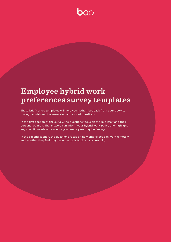# **b**ob

## **Employee hybrid work** preferences survey templates

These brief survey templates will help you gather feedback from your people, through a mixture of open-ended and closed questions.

In the first section of the survey, the questions focus on the role itself and their personal opinion. The answers can inform your hybrid work policy and highlight any specific needs or concerns your employees may be feeling.

In the second section, the questions focus on how employees can work remotely and whether they feel they have the tools to do so successfully.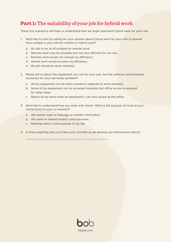### **Part 1:** The suitability of your job for hybrid work

These first questions will help us understand how we might approach hybrid work for your role.

- 1. We'd like to start by asking for your opinion about hybrid work for your role in general. How suitable is your role for remote or hybrid work?
	- a. My job is not at all suitable for remote work.
	- b. Remote work may be possible, but not very efficient for my role.
	- c. Remote work would not change my efficiency.
	- d. Hybrid work would increase my efficiency.
	- e. My job should be done remotely.
- 2. Please tell us about the equipment you use for your role. Are the software and hardware necessary for your job easily portable?
	- a. All my equipment can be easily moved or replaced to work remotely.
	- b. Some of my equipment can be accessed remotely, but office access is required for other tasks.
	- c. Nearly all my work relies on equipment I can only access at the office.
- 3. We'd like to understand how you work with others. What is the purpose of most of your connections to your co-workers?
	- a. We mainly meet or message to transfer information.

 $\mathcal{L}_\text{max}$  , and the contract of the contract of the contract of the contract of the contract of the contract of the contract of the contract of the contract of the contract of the contract of the contract of the contr

- b. We work on shared projects and outcomes.
- c. Meeting others is the purpose of my job.
- 4. Is there anything else you'd like us to consider as we develop our hybrid work policy?

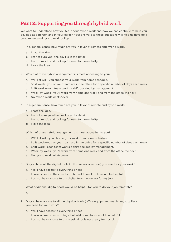### **Part 2:** Supporting you through hybrid work

We want to understand how you feel about hybrid work and how we can continue to help you develop as a person and in your career. Your answers to these questions will help us develop a people-centered hybrid work policy.

- 1. In a general sense, how much are you in favor of remote and hybrid work?
	- a. I hate the idea.
	- b. I'm not sure vet—the devil is in the detail.
	- c. I'm optimistic and looking forward to more clarity.
	- d. I love the idea.
- 2. Which of these hybrid arrangements is most appealing to you?
	- a. WFH at will-you choose your work from home schedule.
	- b. Split week-you or your team are in the office for a specific number of days each week
	- c. Shift work-each team works a shift decided by management.
	- d. Week-by-week-you'll work from home one week and from the office the next.
	- e. No hybrid work whatsoever.
- 3. In a general sense, how much are you in favor of remote and hybrid work?
	- a. I hate the idea.
	- b. I'm not sure yet-the devil is in the detail.
	- c. I'm optimistic and looking forward to more clarity.
	- d. I love the idea.
- 4. Which of these hybrid arrangements is most appealing to you?
	- a. WFH at will-you choose your work from home schedule.
	- b. Split week-you or your team are in the office for a specific number of days each week
	- c. Shift work-each team works a shift decided by management.
	- d. Week-by-week-you'll work from home one week and from the office the next.
	- e. No hybrid work whatsoever.
- 5. Do you have all the digital tools (software, apps, access) you need for your work?
	- a. Yes, I have access to everything I need.
	- b. I have access to the core tools, but additional tools would be helpful.
	- c. I do not have access to the digital tools necessary for my job.
- 6. What additional digital tools would be helpful for you to do your job remotely?
	- \_\_\_\_\_\_\_\_\_\_\_\_\_\_\_\_\_\_\_\_\_\_\_\_\_\_\_\_\_\_\_\_\_\_\_\_\_\_\_\_\_\_\_\_\_\_\_\_\_\_\_\_\_\_\_\_\_\_\_\_\_\_ .a
- 7. Do you have access to all the physical tools (office equipment, machines, supplies) you need for your work?
	- a. Yes, I have access to everything I need.
	- b. I have access to most things, but additional tools would be helpful.
	- c. I do not have access to the physical tools necessary for my job.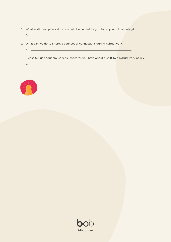- 8. What additional physical tools would be helpful for you to do your job remotely?
	- a. <u>\_\_\_\_\_\_\_</u>
- 9. What can we do to improve your social connections during hybrid work?
	- \_\_\_\_\_\_\_\_\_\_\_\_\_\_\_\_\_\_\_\_\_\_\_\_\_\_\_\_\_\_\_\_\_\_\_\_\_\_\_\_\_\_\_\_\_\_\_\_\_\_\_\_\_\_\_\_\_\_\_\_\_\_ .a
- 10. Please tell us about any specific concerns you have about a shift to a hybrid work policy.
	- \_\_\_\_\_\_\_\_\_\_\_\_\_\_\_\_\_\_\_\_\_\_\_\_\_\_\_\_\_\_\_\_\_\_\_\_\_\_\_\_\_\_\_\_\_\_\_\_\_\_\_\_\_\_\_\_\_\_\_\_\_\_ .a